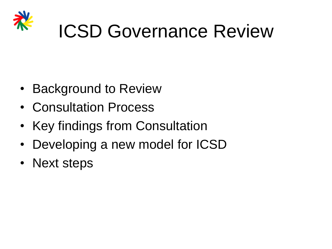

- Background to Review
- Consultation Process
- Key findings from Consultation
- Developing a new model for ICSD
- Next steps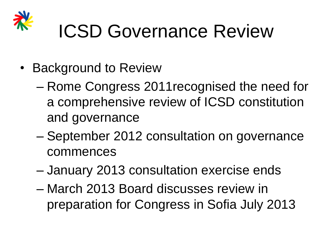

- Background to Review
	- Rome Congress 2011recognised the need for a comprehensive review of ICSD constitution and governance
	- September 2012 consultation on governance commences
	- January 2013 consultation exercise ends
	- March 2013 Board discusses review in preparation for Congress in Sofia July 2013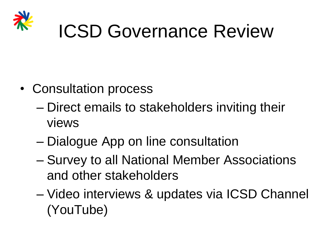

- Consultation process
	- Direct emails to stakeholders inviting their views
	- Dialogue App on line consultation
	- Survey to all National Member Associations and other stakeholders
	- Video interviews & updates via ICSD Channel (YouTube)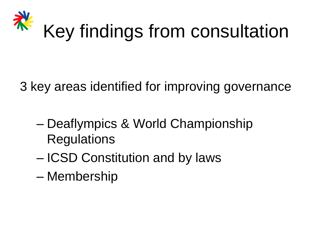

3 key areas identified for improving governance

- Deaflympics & World Championship **Regulations**
- ICSD Constitution and by laws
- Membership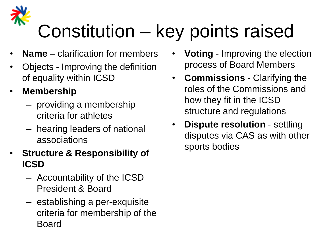# Constitution – key points raised

- **Name** clarification for members
- Objects Improving the definition of equality within ICSD
- **Membership**
	- providing a membership criteria for athletes
	- hearing leaders of national associations
- **Structure & Responsibility of ICSD**
	- Accountability of the ICSD President & Board
	- establishing a per-exquisite criteria for membership of the Board
- **Voting** Improving the election process of Board Members
- **Commissions** Clarifying the roles of the Commissions and how they fit in the ICSD structure and regulations
- **Dispute resolution**  settling disputes via CAS as with other sports bodies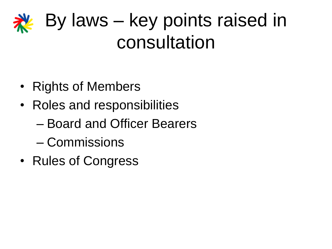#### By laws – key points raised in consultation

- Rights of Members
- Roles and responsibilities
	- Board and Officer Bearers
	- Commissions
- Rules of Congress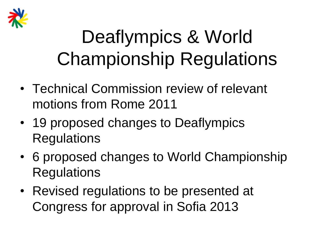

## Deaflympics & World Championship Regulations

- Technical Commission review of relevant motions from Rome 2011
- 19 proposed changes to Deaflympics **Regulations**
- 6 proposed changes to World Championship **Regulations**
- Revised regulations to be presented at Congress for approval in Sofia 2013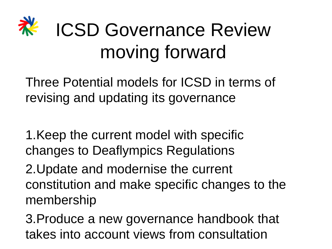# ICSD Governance Review moving forward

Three Potential models for ICSD in terms of revising and updating its governance

1.Keep the current model with specific changes to Deaflympics Regulations

2.Update and modernise the current constitution and make specific changes to the membership

3.Produce a new governance handbook that takes into account views from consultation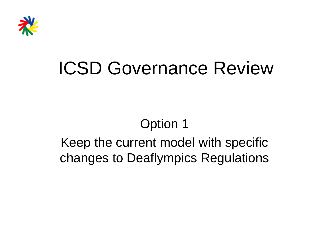

#### Option 1

#### Keep the current model with specific changes to Deaflympics Regulations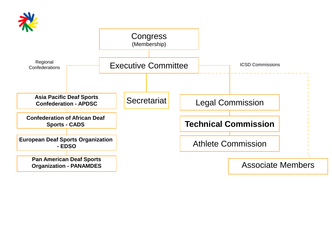

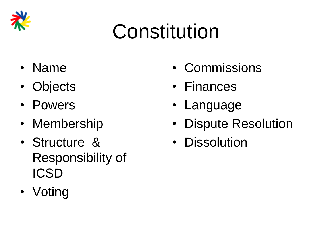

# Constitution

- Name
- Objects
- Powers
- Membership
- Structure & Responsibility of ICSD
- Voting
- Commissions
- Finances
- Language
- Dispute Resolution
- Dissolution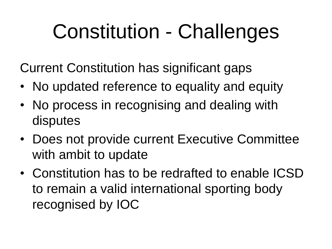# Constitution - Challenges

Current Constitution has significant gaps

- No updated reference to equality and equity
- No process in recognising and dealing with disputes
- Does not provide current Executive Committee with ambit to update
- Constitution has to be redrafted to enable ICSD to remain a valid international sporting body recognised by IOC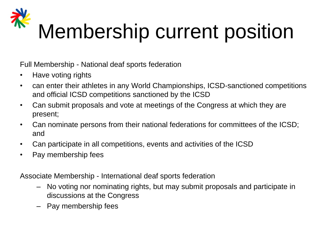# Membership current position

Full Membership - National deaf sports federation

- Have voting rights
- can enter their athletes in any World Championships, ICSD-sanctioned competitions and official ICSD competitions sanctioned by the ICSD
- Can submit proposals and vote at meetings of the Congress at which they are present;
- Can nominate persons from their national federations for committees of the ICSD; and
- Can participate in all competitions, events and activities of the ICSD
- Pay membership fees

Associate Membership - International deaf sports federation

- No voting nor nominating rights, but may submit proposals and participate in discussions at the Congress
- Pay membership fees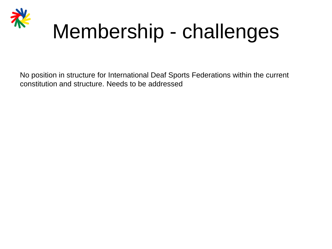

# Membership - challenges

No position in structure for International Deaf Sports Federations within the current constitution and structure. Needs to be addressed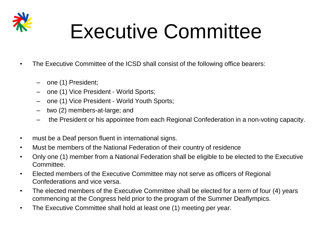

# Executive Committee

- The Executive Committee of the ICSD shall consist of the following office bearers:
	- one (1) President;
	- one (1) Vice President World Sports;
	- one (1) Vice President World Youth Sports;
	- two (2) members-at-large; and
	- the President or his appointee from each Regional Confederation in a non-voting capacity.
- must be a Deaf person fluent in international signs.
- Must be members of the National Federation of their country of residence
- Only one (1) member from a National Federation shall be eligible to be elected to the Executive Committee.
- Elected members of the Executive Committee may not serve as officers of Regional Confederations and vice versa.
- The elected members of the Executive Committee shall be elected for a term of four (4) years commencing at the Congress held prior to the program of the Summer Deaflympics.
- The Executive Committee shall hold at least one (1) meeting per year.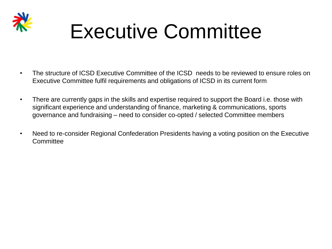

# Executive Committee

- The structure of ICSD Executive Committee of the ICSD needs to be reviewed to ensure roles on Executive Committee fulfil requirements and obligations of ICSD in its current form
- There are currently gaps in the skills and expertise required to support the Board i.e. those with significant experience and understanding of finance, marketing & communications, sports governance and fundraising – need to consider co-opted / selected Committee members
- Need to re-consider Regional Confederation Presidents having a voting position on the Executive **Committee**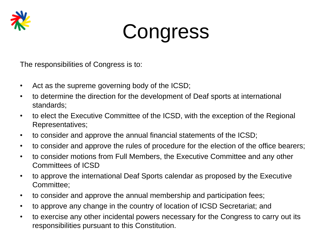

# **Congress**

The responsibilities of Congress is to:

- Act as the supreme governing body of the ICSD;
- to determine the direction for the development of Deaf sports at international standards;
- to elect the Executive Committee of the ICSD, with the exception of the Regional Representatives;
- to consider and approve the annual financial statements of the ICSD;
- to consider and approve the rules of procedure for the election of the office bearers;
- to consider motions from Full Members, the Executive Committee and any other Committees of ICSD
- to approve the international Deaf Sports calendar as proposed by the Executive Committee;
- to consider and approve the annual membership and participation fees;
- to approve any change in the country of location of ICSD Secretariat; and
- to exercise any other incidental powers necessary for the Congress to carry out its responsibilities pursuant to this Constitution.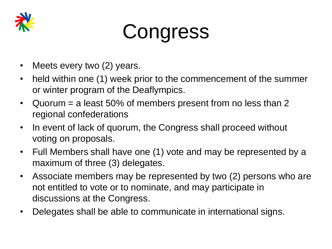

# **Congress**

- Meets every two (2) years.
- held within one (1) week prior to the commencement of the summer or winter program of the Deaflympics.
- Quorum = a least 50% of members present from no less than 2 regional confederations
- In event of lack of quorum, the Congress shall proceed without voting on proposals.
- Full Members shall have one (1) vote and may be represented by a maximum of three (3) delegates.
- Associate members may be represented by two (2) persons who are not entitled to vote or to nominate, and may participate in discussions at the Congress.
- Delegates shall be able to communicate in international signs.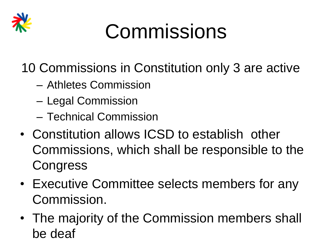

# Commissions

10 Commissions in Constitution only 3 are active

- Athletes Commission
- Legal Commission
- Technical Commission
- Constitution allows ICSD to establish other Commissions, which shall be responsible to the **Congress**
- Executive Committee selects members for any Commission.
- The majority of the Commission members shall be deaf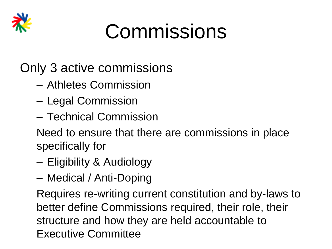

# Commissions

Only 3 active commissions

- Athletes Commission
- Legal Commission
- Technical Commission

Need to ensure that there are commissions in place specifically for

- Eligibility & Audiology
- Medical / Anti-Doping

Requires re-writing current constitution and by-laws to better define Commissions required, their role, their structure and how they are held accountable to Executive Committee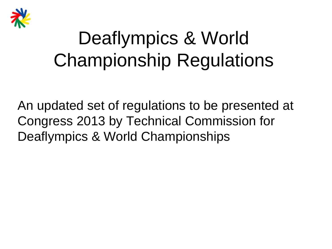

## Deaflympics & World Championship Regulations

An updated set of regulations to be presented at Congress 2013 by Technical Commission for Deaflympics & World Championships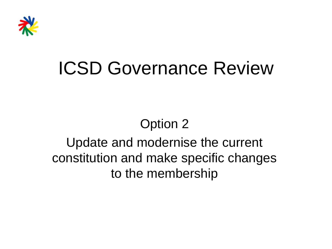

#### Option 2

#### Update and modernise the current constitution and make specific changes to the membership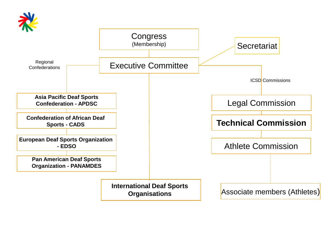

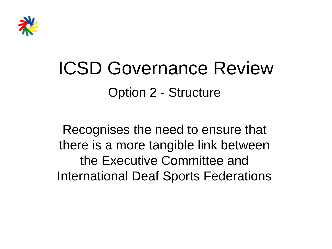

#### ICSD Governance Review Option 2 - Structure

Recognises the need to ensure that there is a more tangible link between the Executive Committee and International Deaf Sports Federations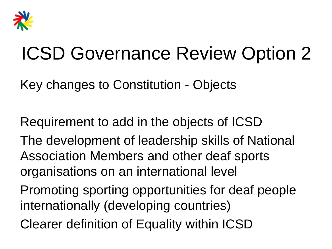

Key changes to Constitution - Objects

Requirement to add in the objects of ICSD The development of leadership skills of National Association Members and other deaf sports organisations on an international level Promoting sporting opportunities for deaf people internationally (developing countries)

Clearer definition of Equality within ICSD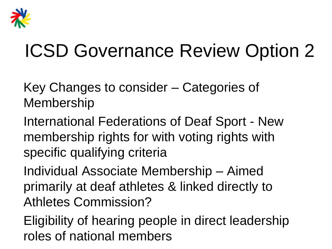

Key Changes to consider – Categories of Membership

International Federations of Deaf Sport - New membership rights for with voting rights with specific qualifying criteria

Individual Associate Membership – Aimed primarily at deaf athletes & linked directly to Athletes Commission?

Eligibility of hearing people in direct leadership roles of national members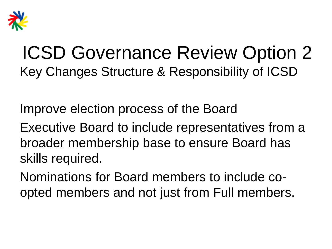

#### ICSD Governance Review Option 2 Key Changes Structure & Responsibility of ICSD

Improve election process of the Board

Executive Board to include representatives from a broader membership base to ensure Board has skills required.

Nominations for Board members to include coopted members and not just from Full members.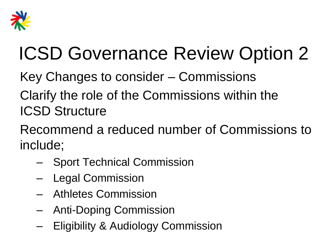

- Key Changes to consider Commissions
- Clarify the role of the Commissions within the ICSD Structure
- Recommend a reduced number of Commissions to include;
	- Sport Technical Commission
	- Legal Commission
	- Athletes Commission
	- Anti-Doping Commission
	- Eligibility & Audiology Commission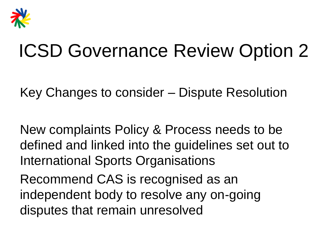

Key Changes to consider – Dispute Resolution

New complaints Policy & Process needs to be defined and linked into the guidelines set out to International Sports Organisations

Recommend CAS is recognised as an independent body to resolve any on-going disputes that remain unresolved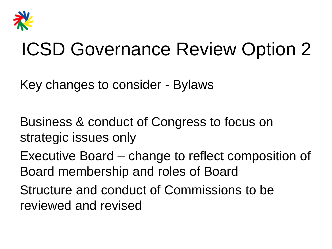

Key changes to consider - Bylaws

Business & conduct of Congress to focus on strategic issues only

Executive Board – change to reflect composition of Board membership and roles of Board

Structure and conduct of Commissions to be reviewed and revised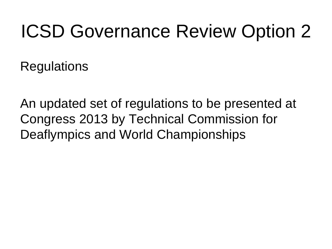**Regulations** 

An updated set of regulations to be presented at Congress 2013 by Technical Commission for Deaflympics and World Championships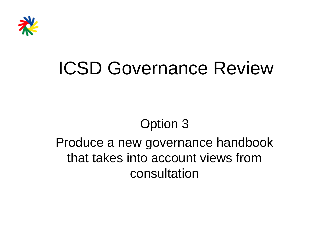

#### Option 3

#### Produce a new governance handbook that takes into account views from consultation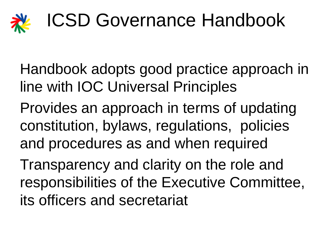

- Handbook adopts good practice approach in line with IOC Universal Principles
- Provides an approach in terms of updating constitution, bylaws, regulations, policies and procedures as and when required
- Transparency and clarity on the role and responsibilities of the Executive Committee, its officers and secretariat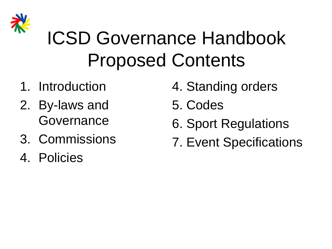

## ICSD Governance Handbook Proposed Contents

- 1. Introduction
- 2. By-laws and Governance
- 3. Commissions
- 4. Policies
- 4. Standing orders
- 5. Codes
- 6. Sport Regulations
- 7. Event Specifications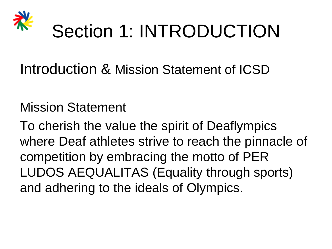

#### Introduction & Mission Statement of ICSD

#### Mission Statement

To cherish the value the spirit of Deaflympics where Deaf athletes strive to reach the pinnacle of competition by embracing the motto of PER LUDOS AEQUALITAS (Equality through sports) and adhering to the ideals of Olympics.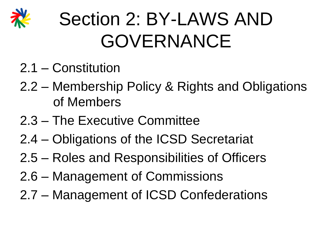

# Section 2: BY-LAWS AND GOVERNANCE

- 2.1 Constitution
- 2.2 Membership Policy & Rights and Obligations of Members
- 2.3 The Executive Committee
- 2.4 Obligations of the ICSD Secretariat
- 2.5 Roles and Responsibilities of Officers
- 2.6 Management of Commissions
- 2.7 Management of ICSD Confederations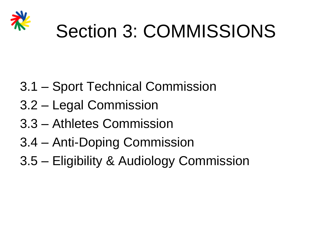

## Section 3: COMMISSIONS

- 3.1 Sport Technical Commission
- 3.2 Legal Commission
- 3.3 Athletes Commission
- 3.4 Anti-Doping Commission
- 3.5 Eligibility & Audiology Commission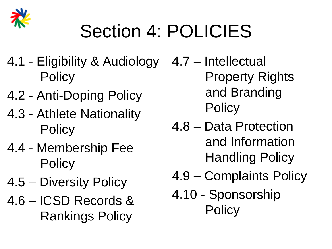

# Section 4: POLICIES

- 4.1 Eligibility & Audiology **Policy**
- 4.2 Anti-Doping Policy
- 4.3 Athlete Nationality **Policy**
- 4.4 Membership Fee **Policy**
- 4.5 Diversity Policy
- 4.6 ICSD Records & Rankings Policy

4.7 – Intellectual Property Rights and Branding **Policy** 

- 4.8 Data Protection and Information Handling Policy
- 4.9 Complaints Policy
- 4.10 Sponsorship **Policy**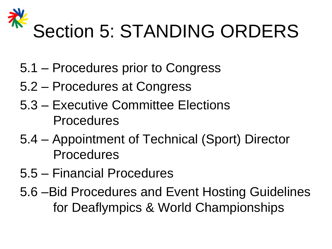

- 5.1 Procedures prior to Congress
- 5.2 Procedures at Congress
- 5.3 Executive Committee Elections Procedures
- 5.4 Appointment of Technical (Sport) Director Procedures
- 5.5 Financial Procedures
- 5.6 –Bid Procedures and Event Hosting Guidelines for Deaflympics & World Championships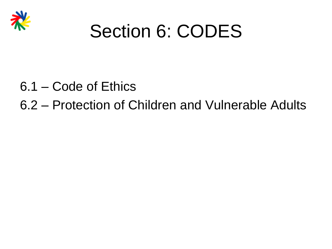

#### Section 6: CODES

- 6.1 Code of Ethics
- 6.2 Protection of Children and Vulnerable Adults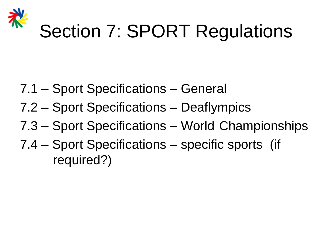

## Section 7: SPORT Regulations

- 7.1 Sport Specifications General
- 7.2 Sport Specifications Deaflympics
- 7.3 Sport Specifications World Championships
- 7.4 Sport Specifications specific sports (if required?)